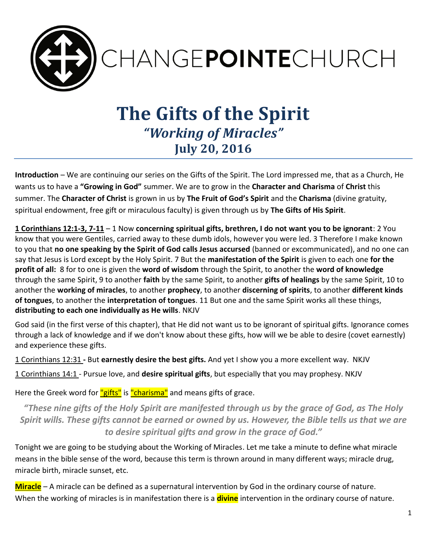

# **The Gifts of the Spirit** *"Working of Miracles"* **July 20, 2016**

**Introduction** – We are continuing our series on the Gifts of the Spirit. The Lord impressed me, that as a Church, He wants us to have a **"Growing in God"** summer. We are to grow in the **Character and Charisma** of **Christ** this summer. The **Character of Christ** is grown in us by **The Fruit of God's Spirit** and the **Charisma** (divine gratuity, spiritual endowment, free gift or miraculous faculty) is given through us by **The Gifts of His Spirit**.

**1 Corinthians 12:1-3, 7-11** – 1 Now **concerning spiritual gifts, brethren, I do not want you to be ignorant**: 2 You know that you were Gentiles, carried away to these dumb idols, however you were led. 3 Therefore I make known to you that **no one speaking by the Spirit of God calls Jesus accursed** (banned or excommunicated), and no one can say that Jesus is Lord except by the Holy Spirit. 7 But the **manifestation of the Spirit** is given to each one **for the profit of all:** 8 for to one is given the **word of wisdom** through the Spirit, to another the **word of knowledge** through the same Spirit, 9 to another **faith** by the same Spirit, to another **gifts of healings** by the same Spirit, 10 to another the **working of miracles**, to another **prophecy**, to another **discerning of spirits**, to another **different kinds of tongues**, to another the **interpretation of tongues**. 11 But one and the same Spirit works all these things, **distributing to each one individually as He wills**. NKJV

God said (in the first verse of this chapter), that He did not want us to be ignorant of spiritual gifts. Ignorance comes through a lack of knowledge and if we don't know about these gifts, how will we be able to desire (covet earnestly) and experience these gifts.

1 Corinthians 12:31 **-** But **earnestly desire the best gifts.** And yet I show you a more excellent way. NKJV

1 Corinthians 14:1 - Pursue love, and **desire spiritual gifts**, but especially that you may prophesy. NKJV

Here the Greek word for "gifts" is "charisma" and means gifts of grace.

*"These nine gifts of the Holy Spirit are manifested through us by the grace of God, as The Holy Spirit wills. These gifts cannot be earned or owned by us. However, the Bible tells us that we are to desire spiritual gifts and grow in the grace of God."*

Tonight we are going to be studying about the Working of Miracles. Let me take a minute to define what miracle means in the bible sense of the word, because this term is thrown around in many different ways; miracle drug, miracle birth, miracle sunset, etc.

**Miracle** – A miracle can be defined as a supernatural intervention by God in the ordinary course of nature. When the working of miracles is in manifestation there is a **divine** intervention in the ordinary course of nature.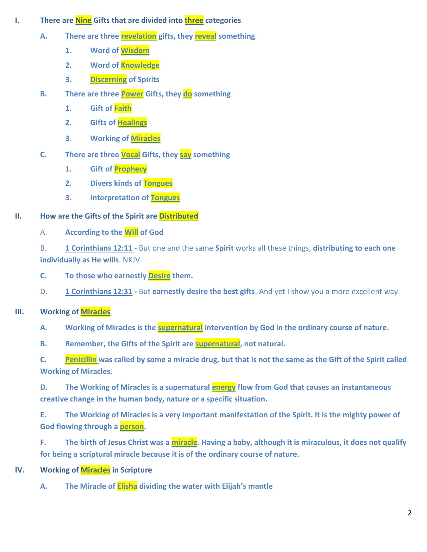- **I. There are Nine Gifts that are divided into three categories** 
	- **A. There are three revelation gifts, they reveal something**
		- **1. Word of Wisdom**
		- **2. Word of Knowledge**
		- **3. Discerning of Spirits**
	- **B. There are three Power Gifts, they do something** 
		- **1. Gift of Faith**
		- **2. Gifts of Healings**
		- **3. Working of Miracles**
	- **C. There are three Vocal Gifts, they say something**
		- **1. Gift of Prophecy**
		- **2. Divers kinds of Tongues**
		- **3. Interpretation of Tongues**

# **II. How are the Gifts of the Spirit are Distributed**

A. **According to the Will of God**

B. **1 Corinthians 12:11** - But one and the same **Spirit** works all these things, **distributing to each one individually as He wills**. NKJV

- **C. To those who earnestly Desire them.**
- D. **1 Corinthians 12:31 -** But **earnestly desire the best gifts**. And yet I show you a more excellent way.

## **III. Working of Miracles**

- **A. Working of Miracles is the supernatural intervention by God in the ordinary course of nature.**
- **B. Remember, the Gifts of the Spirit are supernatural, not natural.**

**C. Penicillin was called by some a miracle drug, but that is not the same as the Gift of the Spirit called Working of Miracles.** 

**D. The Working of Miracles is a supernatural energy flow from God that causes an instantaneous creative change in the human body, nature or a specific situation.** 

**E. The Working of Miracles is a very important manifestation of the Spirit. It is the mighty power of God flowing through a person.**

**F. The birth of Jesus Christ was a miracle. Having a baby, although it is miraculous, it does not qualify for being a scriptural miracle because it is of the ordinary course of nature.** 

- **IV. Working of Miracles in Scripture**
	- **A. The Miracle of Elisha dividing the water with Elijah's mantle**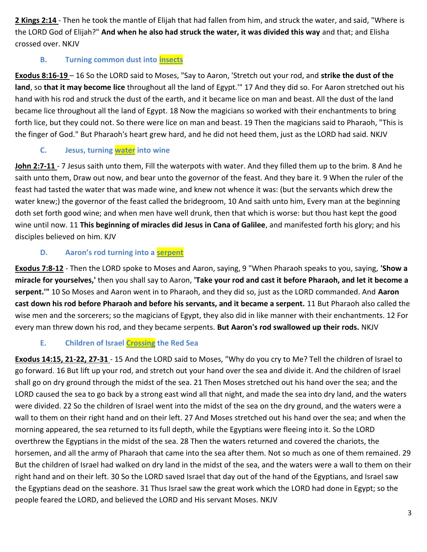**2 Kings 2:14** - Then he took the mantle of Elijah that had fallen from him, and struck the water, and said, "Where is the LORD God of Elijah?" **And when he also had struck the water, it was divided this way** and that; and Elisha crossed over. NKJV

#### **B. Turning common dust into insects**

**Exodus 8:16-19** – 16 So the LORD said to Moses, "Say to Aaron, 'Stretch out your rod, and **strike the dust of the land**, so **that it may become lice** throughout all the land of Egypt.'" 17 And they did so. For Aaron stretched out his hand with his rod and struck the dust of the earth, and it became lice on man and beast. All the dust of the land became lice throughout all the land of Egypt. 18 Now the magicians so worked with their enchantments to bring forth lice, but they could not. So there were lice on man and beast. 19 Then the magicians said to Pharaoh, "This is the finger of God." But Pharaoh's heart grew hard, and he did not heed them, just as the LORD had said. NKJV

#### **C. Jesus, turning water into wine**

**John 2:7-11** - 7 Jesus saith unto them, Fill the waterpots with water. And they filled them up to the brim. 8 And he saith unto them, Draw out now, and bear unto the governor of the feast. And they bare it. 9 When the ruler of the feast had tasted the water that was made wine, and knew not whence it was: (but the servants which drew the water knew;) the governor of the feast called the bridegroom, 10 And saith unto him, Every man at the beginning doth set forth good wine; and when men have well drunk, then that which is worse: but thou hast kept the good wine until now. 11 **This beginning of miracles did Jesus in Cana of Galilee**, and manifested forth his glory; and his disciples believed on him. KJV

#### **D. Aaron's rod turning into a serpent**

**Exodus 7:8-12** - Then the LORD spoke to Moses and Aaron, saying, 9 "When Pharaoh speaks to you, saying, **'Show a miracle for yourselves,'** then you shall say to Aaron, **'Take your rod and cast it before Pharaoh, and let it become a serpent.'"** 10 So Moses and Aaron went in to Pharaoh, and they did so, just as the LORD commanded. And **Aaron cast down his rod before Pharaoh and before his servants, and it became a serpent.** 11 But Pharaoh also called the wise men and the sorcerers; so the magicians of Egypt, they also did in like manner with their enchantments. 12 For every man threw down his rod, and they became serpents. **But Aaron's rod swallowed up their rods.** NKJV

#### **E. Children of Israel Crossing the Red Sea**

**Exodus 14:15, 21-22, 27-31** - 15 And the LORD said to Moses, "Why do you cry to Me? Tell the children of Israel to go forward. 16 But lift up your rod, and stretch out your hand over the sea and divide it. And the children of Israel shall go on dry ground through the midst of the sea. 21 Then Moses stretched out his hand over the sea; and the LORD caused the sea to go back by a strong east wind all that night, and made the sea into dry land, and the waters were divided. 22 So the children of Israel went into the midst of the sea on the dry ground, and the waters were a wall to them on their right hand and on their left. 27 And Moses stretched out his hand over the sea; and when the morning appeared, the sea returned to its full depth, while the Egyptians were fleeing into it. So the LORD overthrew the Egyptians in the midst of the sea. 28 Then the waters returned and covered the chariots, the horsemen, and all the army of Pharaoh that came into the sea after them. Not so much as one of them remained. 29 But the children of Israel had walked on dry land in the midst of the sea, and the waters were a wall to them on their right hand and on their left. 30 So the LORD saved Israel that day out of the hand of the Egyptians, and Israel saw the Egyptians dead on the seashore. 31 Thus Israel saw the great work which the LORD had done in Egypt; so the people feared the LORD, and believed the LORD and His servant Moses. NKJV